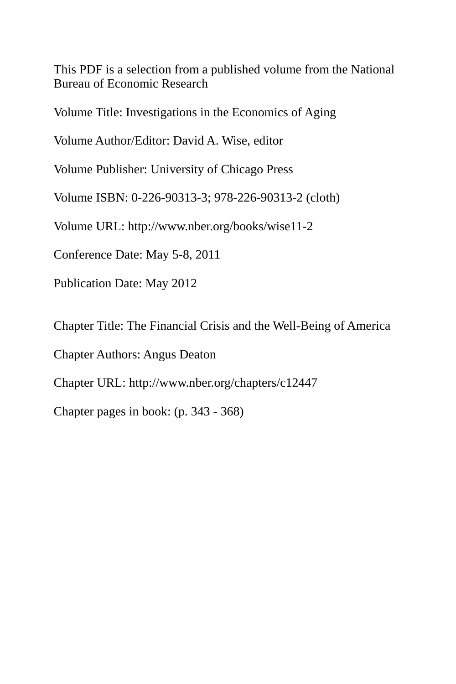This PDF is a selection from a published volume from the National Bureau of Economic Research

Volume Title: Investigations in the Economics of Aging

Volume Author/Editor: David A. Wise, editor

Volume Publisher: University of Chicago Press

Volume ISBN: 0-226-90313-3; 978-226-90313-2 (cloth)

Volume URL: http://www.nber.org/books/wise11-2

Conference Date: May 5-8, 2011

Publication Date: May 2012

Chapter Title: The Financial Crisis and the Well-Being of America

Chapter Authors: Angus Deaton

Chapter URL: http://www.nber.org/chapters/c12447

Chapter pages in book: (p. 343 - 368)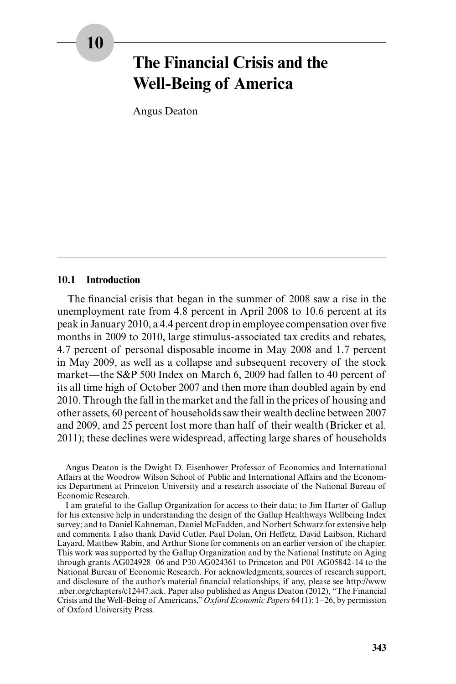# **The Financial Crisis and the Well- Being of America**

Angus Deaton

#### **10.1 Introduction**

The financial crisis that began in the summer of 2008 saw a rise in the unemployment rate from 4.8 percent in April 2008 to 10.6 percent at its peak in January 2010, a 4.4 percent drop in employee compensation over five months in 2009 to 2010, large stimulus- associated tax credits and rebates, 4.7 percent of personal disposable income in May 2008 and 1.7 percent in May 2009, as well as a collapse and subsequent recovery of the stock market—the S&P 500 Index on March 6, 2009 had fallen to 40 percent of its all time high of October 2007 and then more than doubled again by end 2010. Through the fall in the market and the fall in the prices of housing and other assets, 60 percent of households saw their wealth decline between 2007 and 2009, and 25 percent lost more than half of their wealth (Bricker et al. 2011); these declines were widespread, affecting large shares of households

Angus Deaton is the Dwight D. Eisenhower Professor of Economics and International Affairs at the Woodrow Wilson School of Public and International Affairs and the Economics Department at Princeton University and a research associate of the National Bureau of Economic Research.

I am grateful to the Gallup Organization for access to their data; to Jim Harter of Gallup for his extensive help in understanding the design of the Gallup Healthways Wellbeing Index survey; and to Daniel Kahneman, Daniel McFadden, and Norbert Schwarz for extensive help and comments. I also thank David Cutler, Paul Dolan, Ori Heffetz, David Laibson, Richard Layard, Matthew Rabin, and Arthur Stone for comments on an earlier version of the chapter. This work was supported by the Gallup Organization and by the National Institute on Aging through grants AG024928–06 and P30 AG024361 to Princeton and P01 AG05842-14 to the National Bureau of Economic Research. For acknowledgments, sources of research support, and disclosure of the author's material financial relationships, if any, please see http://www .nber.org/ chapters/ c12447.ack. Paper also published as Angus Deaton (2012), "The Financial Crisis and the Well-Being of Americans," *Oxford Economic Papers* 64 (1): 1–26, by permission of Oxford University Press.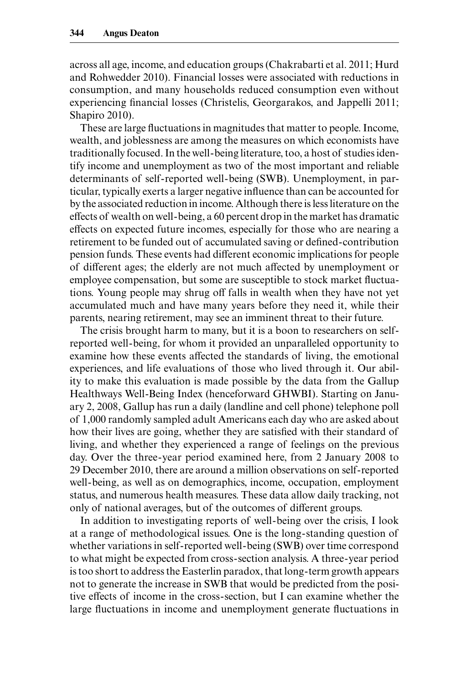across all age, income, and education groups (Chakrabarti et al. 2011; Hurd and Rohwedder 2010). Financial losses were associated with reductions in consumption, and many households reduced consumption even without experiencing financial losses (Christelis, Georgarakos, and Jappelli 2011; Shapiro 2010).

These are large fluctuations in magnitudes that matter to people. Income, wealth, and joblessness are among the measures on which economists have traditionally focused. In the well- being literature, too, a host of studies identify income and unemployment as two of the most important and reliable determinants of self- reported well- being (SWB). Unemployment, in particular, typically exerts a larger negative influence than can be accounted for by the associated reduction in income. Although there is less literature on the effects of wealth on well- being, a 60 percent drop in the market has dramatic effects on expected future incomes, especially for those who are nearing a retirement to be funded out of accumulated saving or defined-contribution pension funds. These events had different economic implications for people of different ages; the elderly are not much affected by unemployment or employee compensation, but some are susceptible to stock market fluctuations. Young people may shrug off falls in wealth when they have not yet accumulated much and have many years before they need it, while their parents, nearing retirement, may see an imminent threat to their future.

The crisis brought harm to many, but it is a boon to researchers on selfreported well- being, for whom it provided an unparalleled opportunity to examine how these events affected the standards of living, the emotional experiences, and life evaluations of those who lived through it. Our ability to make this evaluation is made possible by the data from the Gallup Healthways Well-Being Index (henceforward GHWBI). Starting on January 2, 2008, Gallup has run a daily (landline and cell phone) telephone poll of 1,000 randomly sampled adult Americans each day who are asked about how their lives are going, whether they are satisfied with their standard of living, and whether they experienced a range of feelings on the previous day. Over the three- year period examined here, from 2 January 2008 to 29 December 2010, there are around a million observations on self- reported well- being, as well as on demographics, income, occupation, employment status, and numerous health measures. These data allow daily tracking, not only of national averages, but of the outcomes of different groups.

In addition to investigating reports of well- being over the crisis, I look at a range of methodological issues. One is the long- standing question of whether variations in self- reported well- being (SWB) over time correspond to what might be expected from cross- section analysis. A three- year period is too short to address the Easterlin paradox, that long- term growth appears not to generate the increase in SWB that would be predicted from the positive effects of income in the cross- section, but I can examine whether the large fluctuations in income and unemployment generate fluctuations in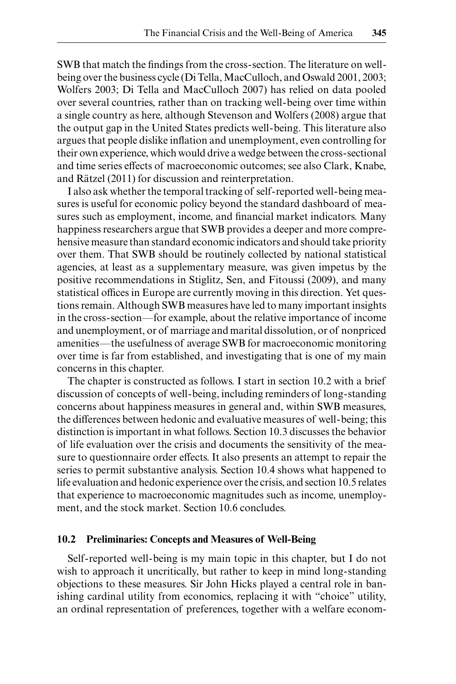SWB that match the findings from the cross-section. The literature on wellbeing over the business cycle (Di Tella, MacCulloch, and Oswald 2001, 2003; Wolfers 2003; Di Tella and MacCulloch 2007) has relied on data pooled over several countries, rather than on tracking well- being over time within a single country as here, although Stevenson and Wolfers (2008) argue that the output gap in the United States predicts well- being. This literature also argues that people dislike inflation and unemployment, even controlling for their own experience, which would drive a wedge between the cross- sectional and time series effects of macroeconomic outcomes; see also Clark, Knabe, and Rätzel (2011) for discussion and reinterpretation.

I also ask whether the temporal tracking of self- reported well- being measures is useful for economic policy beyond the standard dashboard of measures such as employment, income, and financial market indicators. Many happiness researchers argue that SWB provides a deeper and more comprehensive measure than standard economic indicators and should take priority over them. That SWB should be routinely collected by national statistical agencies, at least as a supplementary measure, was given impetus by the positive recommendations in Stiglitz, Sen, and Fitoussi (2009), and many statistical offices in Europe are currently moving in this direction. Yet questions remain. Although SWB measures have led to many important insights in the cross- section—for example, about the relative importance of income and unemployment, or of marriage and marital dissolution, or of nonpriced amenities—the usefulness of average SWB for macroeconomic monitoring over time is far from established, and investigating that is one of my main concerns in this chapter.

The chapter is constructed as follows. I start in section 10.2 with a brief discussion of concepts of well- being, including reminders of long- standing concerns about happiness measures in general and, within SWB measures, the differences between hedonic and evaluative measures of well- being; this distinction is important in what follows. Section 10.3 discusses the behavior of life evaluation over the crisis and documents the sensitivity of the measure to questionnaire order effects. It also presents an attempt to repair the series to permit substantive analysis. Section 10.4 shows what happened to life evaluation and hedonic experience over the crisis, and section 10.5 relates that experience to macroeconomic magnitudes such as income, unemployment, and the stock market. Section 10.6 concludes.

#### **10.2 Preliminaries: Concepts and Measures of Well- Being**

Self- reported well- being is my main topic in this chapter, but I do not wish to approach it uncritically, but rather to keep in mind long-standing objections to these measures. Sir John Hicks played a central role in banishing cardinal utility from economics, replacing it with "choice" utility, an ordinal representation of preferences, together with a welfare econom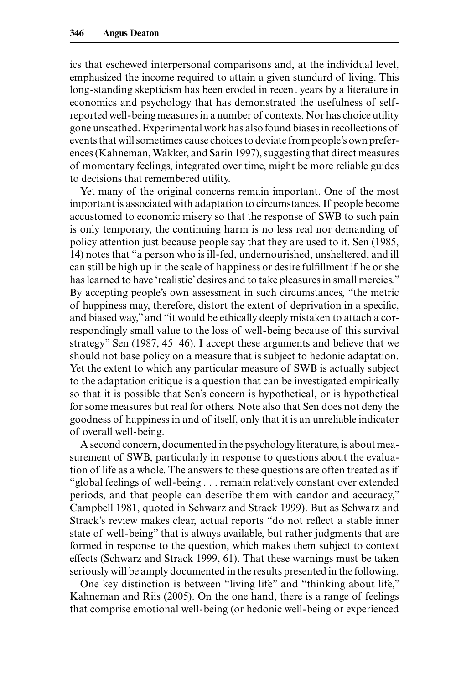ics that eschewed interpersonal comparisons and, at the individual level, emphasized the income required to attain a given standard of living. This long- standing skepticism has been eroded in recent years by a literature in economics and psychology that has demonstrated the usefulness of selfreported well- being measures in a number of contexts. Nor has choice utility gone unscathed. Experimental work has also found biases in recollections of events that will sometimes cause choices to deviate from people's own preferences (Kahneman, Wakker, and Sarin 1997), suggesting that direct measures of momentary feelings, integrated over time, might be more reliable guides to decisions that remembered utility.

Yet many of the original concerns remain important. One of the most important is associated with adaptation to circumstances. If people become accustomed to economic misery so that the response of SWB to such pain is only temporary, the continuing harm is no less real nor demanding of policy attention just because people say that they are used to it. Sen (1985, 14) notes that "a person who is ill- fed, undernourished, unsheltered, and ill can still be high up in the scale of happiness or desire fulfillment if he or she has learned to have 'realistic' desires and to take pleasures in small mercies." By accepting people's own assessment in such circumstances, "the metric of happiness may, therefore, distort the extent of deprivation in a specific, and biased way," and "it would be ethically deeply mistaken to attach a correspondingly small value to the loss of well- being because of this survival strategy" Sen  $(1987, 45-46)$ . I accept these arguments and believe that we should not base policy on a measure that is subject to hedonic adaptation. Yet the extent to which any particular measure of SWB is actually subject to the adaptation critique is a question that can be investigated empirically so that it is possible that Sen's concern is hypothetical, or is hypothetical for some measures but real for others. Note also that Sen does not deny the goodness of happiness in and of itself, only that it is an unreliable indicator of overall well- being.

A second concern, documented in the psychology literature, is about measurement of SWB, particularly in response to questions about the evaluation of life as a whole. The answers to these questions are often treated as if "global feelings of well- being . . . remain relatively constant over extended periods, and that people can describe them with candor and accuracy," Campbell 1981, quoted in Schwarz and Strack 1999). But as Schwarz and Strack's review makes clear, actual reports "do not reflect a stable inner state of well- being" that is always available, but rather judgments that are formed in response to the question, which makes them subject to context effects (Schwarz and Strack 1999, 61). That these warnings must be taken seriously will be amply documented in the results presented in the following.

One key distinction is between "living life" and "thinking about life," Kahneman and Riis (2005). On the one hand, there is a range of feelings that comprise emotional well- being (or hedonic well- being or experienced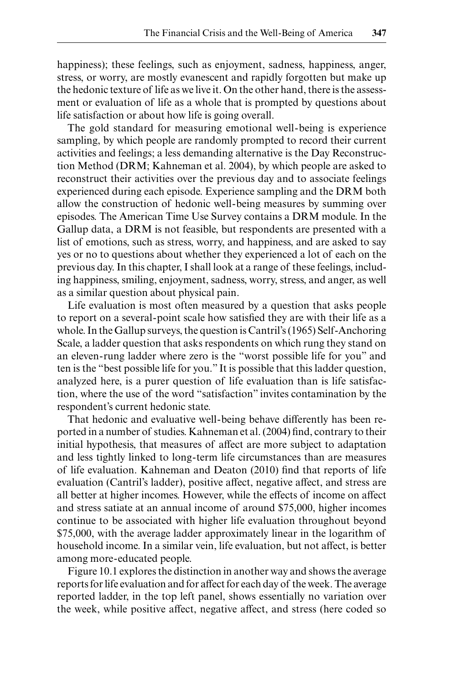happiness); these feelings, such as enjoyment, sadness, happiness, anger, stress, or worry, are mostly evanescent and rapidly forgotten but make up the hedonic texture of life as we live it. On the other hand, there is the assessment or evaluation of life as a whole that is prompted by questions about life satisfaction or about how life is going overall.

The gold standard for measuring emotional well- being is experience sampling, by which people are randomly prompted to record their current activities and feelings; a less demanding alternative is the Day Reconstruction Method (DRM; Kahneman et al. 2004), by which people are asked to reconstruct their activities over the previous day and to associate feelings experienced during each episode. Experience sampling and the DRM both allow the construction of hedonic well- being measures by summing over episodes. The American Time Use Survey contains a DRM module. In the Gallup data, a DRM is not feasible, but respondents are presented with a list of emotions, such as stress, worry, and happiness, and are asked to say yes or no to questions about whether they experienced a lot of each on the previous day. In this chapter, I shall look at a range of these feelings, including happiness, smiling, enjoyment, sadness, worry, stress, and anger, as well as a similar question about physical pain.

Life evaluation is most often measured by a question that asks people to report on a several-point scale how satisfied they are with their life as a whole. In the Gallup surveys, the question is Cantril's (1965) Self-Anchoring Scale, a ladder question that asks respondents on which rung they stand on an eleven- rung ladder where zero is the "worst possible life for you" and ten is the "best possible life for you." It is possible that this ladder question, analyzed here, is a purer question of life evaluation than is life satisfaction, where the use of the word "satisfaction" invites contamination by the respondent's current hedonic state.

That hedonic and evaluative well- being behave differently has been reported in a number of studies. Kahneman et al. (2004) find, contrary to their initial hypothesis, that measures of affect are more subject to adaptation and less tightly linked to long- term life circumstances than are measures of life evaluation. Kahneman and Deaton (2010) find that reports of life evaluation (Cantril's ladder), positive affect, negative affect, and stress are all better at higher incomes. However, while the effects of income on affect and stress satiate at an annual income of around \$75,000, higher incomes continue to be associated with higher life evaluation throughout beyond \$75,000, with the average ladder approximately linear in the logarithm of household income. In a similar vein, life evaluation, but not affect, is better among more- educated people.

Figure 10.1 explores the distinction in another way and shows the average reports for life evaluation and for affect for each day of the week. The average reported ladder, in the top left panel, shows essentially no variation over the week, while positive affect, negative affect, and stress (here coded so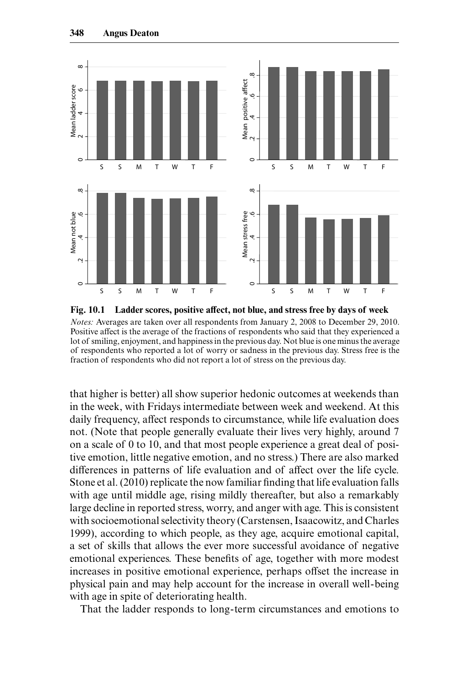

**Fig. 10.1 Ladder scores, positive affect, not blue, and stress free by days of week** *Notes:* Averages are taken over all respondents from January 2, 2008 to December 29, 2010. Positive affect is the average of the fractions of respondents who said that they experienced a lot of smiling, enjoyment, and happiness in the previous day. Not blue is one minus the average of respondents who reported a lot of worry or sadness in the previous day. Stress free is the fraction of respondents who did not report a lot of stress on the previous day.

that higher is better) all show superior hedonic outcomes at weekends than in the week, with Fridays intermediate between week and weekend. At this daily frequency, affect responds to circumstance, while life evaluation does not. (Note that people generally evaluate their lives very highly, around 7 on a scale of 0 to 10, and that most people experience a great deal of positive emotion, little negative emotion, and no stress.) There are also marked differences in patterns of life evaluation and of affect over the life cycle. Stone et al. (2010) replicate the now familiar finding that life evaluation falls with age until middle age, rising mildly thereafter, but also a remarkably large decline in reported stress, worry, and anger with age. This is consistent with socioemotional selectivity theory (Carstensen, Isaacowitz, and Charles 1999), according to which people, as they age, acquire emotional capital, a set of skills that allows the ever more successful avoidance of negative emotional experiences. These benefits of age, together with more modest increases in positive emotional experience, perhaps offset the increase in physical pain and may help account for the increase in overall well- being with age in spite of deteriorating health.

That the ladder responds to long- term circumstances and emotions to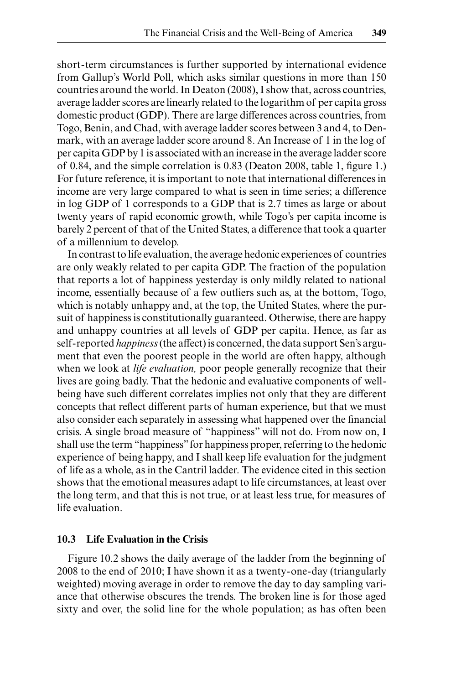short- term circumstances is further supported by international evidence from Gallup's World Poll, which asks similar questions in more than 150 countries around the world. In Deaton (2008), I show that, across countries, average ladder scores are linearly related to the logarithm of per capita gross domestic product (GDP). There are large differences across countries, from Togo, Benin, and Chad, with average ladder scores between 3 and 4, to Denmark, with an average ladder score around 8. An Increase of 1 in the log of per capita GDP by 1 is associated with an increase in the average ladder score of 0.84, and the simple correlation is  $0.83$  (Deaton 2008, table 1, figure 1.) For future reference, it is important to note that international differences in income are very large compared to what is seen in time series; a difference in log GDP of 1 corresponds to a GDP that is 2.7 times as large or about twenty years of rapid economic growth, while Togo's per capita income is barely 2 percent of that of the United States, a difference that took a quarter of a millennium to develop.

In contrast to life evaluation, the average hedonic experiences of countries are only weakly related to per capita GDP. The fraction of the population that reports a lot of happiness yesterday is only mildly related to national income, essentially because of a few outliers such as, at the bottom, Togo, which is notably unhappy and, at the top, the United States, where the pursuit of happiness is constitutionally guaranteed. Otherwise, there are happy and unhappy countries at all levels of GDP per capita. Hence, as far as self- reported *happiness* (the affect) is concerned, the data support Sen's argument that even the poorest people in the world are often happy, although when we look at *life evaluation,* poor people generally recognize that their lives are going badly. That the hedonic and evaluative components of wellbeing have such different correlates implies not only that they are different concepts that reflect different parts of human experience, but that we must also consider each separately in assessing what happened over the financial crisis. A single broad measure of "happiness" will not do. From now on, I shall use the term "happiness" for happiness proper, referring to the hedonic experience of being happy, and I shall keep life evaluation for the judgment of life as a whole, as in the Cantril ladder. The evidence cited in this section shows that the emotional measures adapt to life circumstances, at least over the long term, and that this is not true, or at least less true, for measures of life evaluation.

### **10.3 Life Evaluation in the Crisis**

Figure 10.2 shows the daily average of the ladder from the beginning of 2008 to the end of 2010; I have shown it as a twenty- one- day (triangularly weighted) moving average in order to remove the day to day sampling variance that otherwise obscures the trends. The broken line is for those aged sixty and over, the solid line for the whole population; as has often been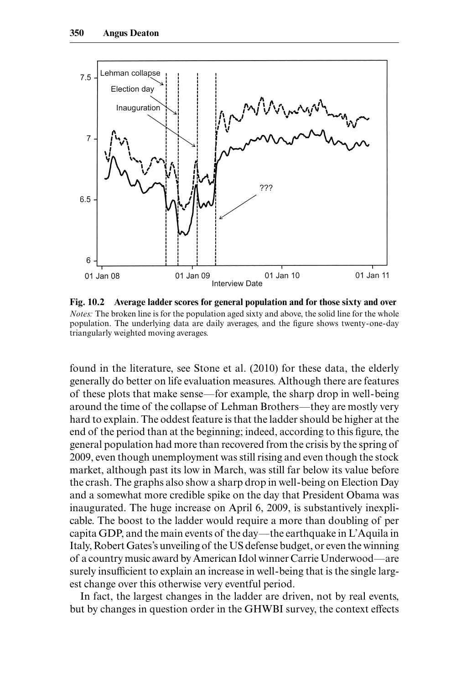

**Fig. 10.2 Average ladder scores for general population and for those sixty and over** *Notes:* The broken line is for the population aged sixty and above, the solid line for the whole population. The underlying data are daily averages, and the figure shows twenty-one-day triangularly weighted moving averages.

found in the literature, see Stone et al. (2010) for these data, the elderly generally do better on life evaluation measures. Although there are features of these plots that make sense—for example, the sharp drop in well- being around the time of the collapse of Lehman Brothers—they are mostly very hard to explain. The oddest feature is that the ladder should be higher at the end of the period than at the beginning; indeed, according to this figure, the general population had more than recovered from the crisis by the spring of 2009, even though unemployment was still rising and even though the stock market, although past its low in March, was still far below its value before the crash. The graphs also show a sharp drop in well- being on Election Day and a somewhat more credible spike on the day that President Obama was inaugurated. The huge increase on April 6, 2009, is substantively inexplicable. The boost to the ladder would require a more than doubling of per capita GDP, and the main events of the day—the earthquake in L'Aquila in Italy, Robert Gates's unveiling of the US defense budget, or even the winning of a country music award by American Idol winner Carrie Underwood—are surely insufficient to explain an increase in well- being that is the single largest change over this otherwise very eventful period.

In fact, the largest changes in the ladder are driven, not by real events, but by changes in question order in the GHWBI survey, the context effects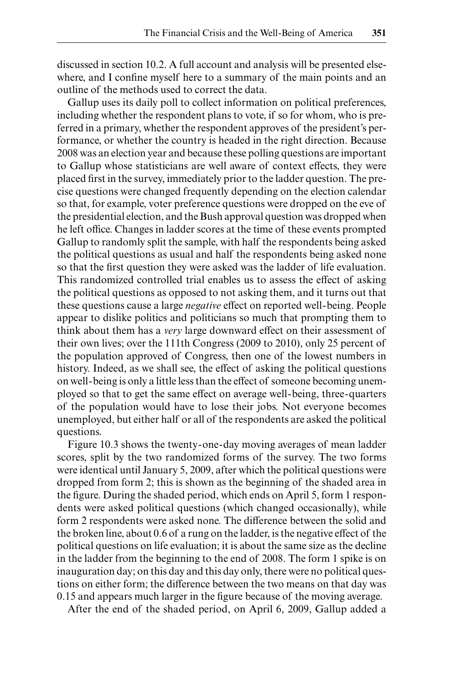discussed in section 10.2. A full account and analysis will be presented elsewhere, and I confine myself here to a summary of the main points and an outline of the methods used to correct the data.

Gallup uses its daily poll to collect information on political preferences, including whether the respondent plans to vote, if so for whom, who is preferred in a primary, whether the respondent approves of the president's performance, or whether the country is headed in the right direction. Because 2008 was an election year and because these polling questions are important to Gallup whose statisticians are well aware of context effects, they were placed first in the survey, immediately prior to the ladder question. The precise questions were changed frequently depending on the election calendar so that, for example, voter preference questions were dropped on the eve of the presidential election, and the Bush approval question was dropped when he left office. Changes in ladder scores at the time of these events prompted Gallup to randomly split the sample, with half the respondents being asked the political questions as usual and half the respondents being asked none so that the first question they were asked was the ladder of life evaluation. This randomized controlled trial enables us to assess the effect of asking the political questions as opposed to not asking them, and it turns out that these questions cause a large *negative* effect on reported well- being. People appear to dislike politics and politicians so much that prompting them to think about them has a *very* large downward effect on their assessment of their own lives; over the 111th Congress (2009 to 2010), only 25 percent of the population approved of Congress, then one of the lowest numbers in history. Indeed, as we shall see, the effect of asking the political questions on well- being is only a little less than the effect of someone becoming unemployed so that to get the same effect on average well- being, three- quarters of the population would have to lose their jobs. Not everyone becomes unemployed, but either half or all of the respondents are asked the political questions.

Figure 10.3 shows the twenty- one- day moving averages of mean ladder scores, split by the two randomized forms of the survey. The two forms were identical until January 5, 2009, after which the political questions were dropped from form 2; this is shown as the beginning of the shaded area in the figure. During the shaded period, which ends on April 5, form 1 respondents were asked political questions (which changed occasionally), while form 2 respondents were asked none. The difference between the solid and the broken line, about 0.6 of a rung on the ladder, is the negative effect of the political questions on life evaluation; it is about the same size as the decline in the ladder from the beginning to the end of 2008. The form 1 spike is on inauguration day; on this day and this day only, there were no political questions on either form; the difference between the two means on that day was 0.15 and appears much larger in the figure because of the moving average.

After the end of the shaded period, on April 6, 2009, Gallup added a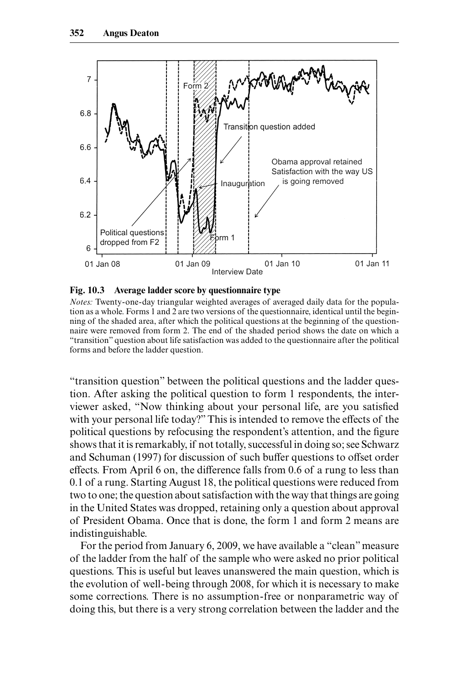

**Fig. 10.3 Average ladder score by questionnaire type**

*Notes:* Twenty-one-day triangular weighted averages of averaged daily data for the population as a whole. Forms 1 and 2 are two versions of the questionnaire, identical until the beginning of the shaded area, after which the political questions at the beginning of the questionnaire were removed from form 2. The end of the shaded period shows the date on which a "transition" question about life satisfaction was added to the questionnaire after the political forms and before the ladder question.

"transition question" between the political questions and the ladder question. After asking the political question to form 1 respondents, the interviewer asked, "Now thinking about your personal life, are you satisfied with your personal life today?" This is intended to remove the effects of the political questions by refocusing the respondent's attention, and the figure shows that it is remarkably, if not totally, successful in doing so; see Schwarz and Schuman (1997) for discussion of such buffer questions to offset order effects. From April 6 on, the difference falls from 0.6 of a rung to less than 0.1 of a rung. Starting August 18, the political questions were reduced from two to one; the question about satisfaction with the way that things are going in the United States was dropped, retaining only a question about approval of President Obama. Once that is done, the form 1 and form 2 means are indistinguishable.

For the period from January 6, 2009, we have available a "clean" measure of the ladder from the half of the sample who were asked no prior political questions. This is useful but leaves unanswered the main question, which is the evolution of well- being through 2008, for which it is necessary to make some corrections. There is no assumption- free or nonparametric way of doing this, but there is a very strong correlation between the ladder and the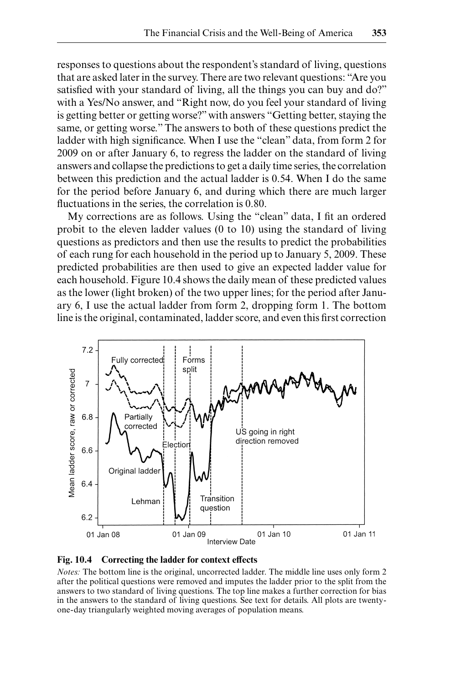responses to questions about the respondent's standard of living, questions that are asked later in the survey. There are two relevant questions: "Are you satisfied with your standard of living, all the things you can buy and do?" with a Yes/No answer, and "Right now, do you feel your standard of living is getting better or getting worse?" with answers "Getting better, staying the same, or getting worse." The answers to both of these questions predict the ladder with high significance. When I use the "clean" data, from form 2 for 2009 on or after January 6, to regress the ladder on the standard of living answers and collapse the predictions to get a daily time series, the correlation between this prediction and the actual ladder is 0.54. When I do the same for the period before January 6, and during which there are much larger fluctuations in the series, the correlation is 0.80.

My corrections are as follows. Using the "clean" data, I fit an ordered probit to the eleven ladder values (0 to 10) using the standard of living questions as predictors and then use the results to predict the probabilities of each rung for each household in the period up to January 5, 2009. These predicted probabilities are then used to give an expected ladder value for each household. Figure 10.4 shows the daily mean of these predicted values as the lower (light broken) of the two upper lines; for the period after January 6, I use the actual ladder from form 2, dropping form 1. The bottom line is the original, contaminated, ladder score, and even this first correction





*Notes:* The bottom line is the original, uncorrected ladder. The middle line uses only form 2 after the political questions were removed and imputes the ladder prior to the split from the answers to two standard of living questions. The top line makes a further correction for bias in the answers to the standard of living questions. See text for details. All plots are twentyone- day triangularly weighted moving averages of population means.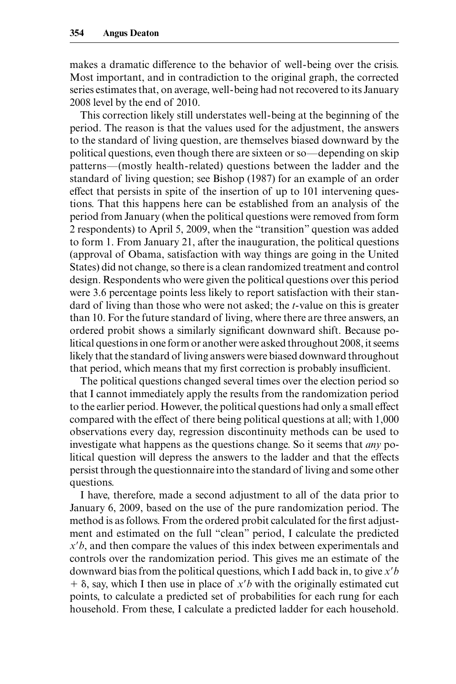makes a dramatic difference to the behavior of well- being over the crisis. Most important, and in contradiction to the original graph, the corrected series estimates that, on average, well- being had not recovered to its January 2008 level by the end of 2010.

This correction likely still understates well- being at the beginning of the period. The reason is that the values used for the adjustment, the answers to the standard of living question, are themselves biased downward by the political questions, even though there are sixteen or so—depending on skip patterns—(mostly health- related) questions between the ladder and the standard of living question; see Bishop (1987) for an example of an order effect that persists in spite of the insertion of up to 101 intervening questions. That this happens here can be established from an analysis of the period from January (when the political questions were removed from form 2 respondents) to April 5, 2009, when the "transition" question was added to form 1. From January 21, after the inauguration, the political questions (approval of Obama, satisfaction with way things are going in the United States) did not change, so there is a clean randomized treatment and control design. Respondents who were given the political questions over this period were 3.6 percentage points less likely to report satisfaction with their standard of living than those who were not asked; the *t*- value on this is greater than 10. For the future standard of living, where there are three answers, an ordered probit shows a similarly significant downward shift. Because political questions in one form or another were asked throughout 2008, it seems likely that the standard of living answers were biased downward throughout that period, which means that my first correction is probably insufficient.

The political questions changed several times over the election period so that I cannot immediately apply the results from the randomization period to the earlier period. However, the political questions had only a small effect compared with the effect of there being political questions at all; with 1,000 observations every day, regression discontinuity methods can be used to investigate what happens as the questions change. So it seems that *any* political question will depress the answers to the ladder and that the effects persist through the questionnaire into the standard of living and some other questions.

I have, therefore, made a second adjustment to all of the data prior to January 6, 2009, based on the use of the pure randomization period. The method is as follows. From the ordered probit calculated for the first adjustment and estimated on the full "clean" period, I calculate the predicted *x*"*b*, and then compare the values of this index between experimentals and controls over the randomization period. This gives me an estimate of the downward bias from the political questions, which I add back in, to give *x*"*b*  $+$   $\delta$ , say, which I then use in place of *x'b* with the originally estimated cut points, to calculate a predicted set of probabilities for each rung for each household. From these, I calculate a predicted ladder for each household.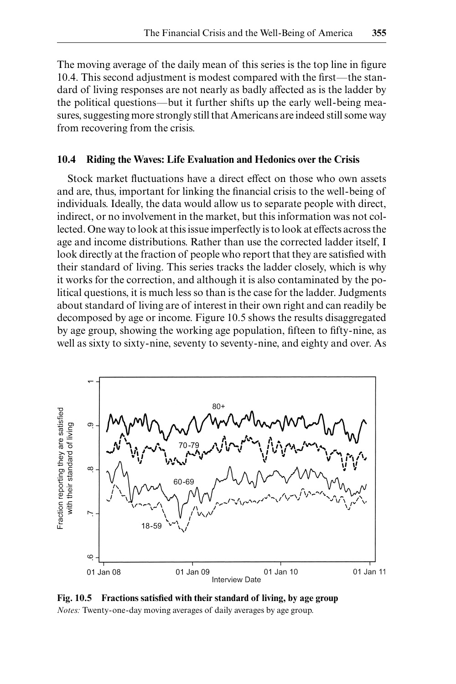The moving average of the daily mean of this series is the top line in figure 10.4. This second adjustment is modest compared with the first—the standard of living responses are not nearly as badly affected as is the ladder by the political questions—but it further shifts up the early well- being measures, suggesting more strongly still that Americans are indeed still some way from recovering from the crisis.

#### **10.4 Riding the Waves: Life Evaluation and Hedonics over the Crisis**

Stock market fluctuations have a direct effect on those who own assets and are, thus, important for linking the financial crisis to the well-being of individuals. Ideally, the data would allow us to separate people with direct, indirect, or no involvement in the market, but this information was not collected. One way to look at this issue imperfectly is to look at effects across the age and income distributions. Rather than use the corrected ladder itself, I look directly at the fraction of people who report that they are satisfied with their standard of living. This series tracks the ladder closely, which is why it works for the correction, and although it is also contaminated by the political questions, it is much less so than is the case for the ladder. Judgments about standard of living are of interest in their own right and can readily be decomposed by age or income. Figure 10.5 shows the results disaggregated by age group, showing the working age population, fifteen to fifty-nine, as well as sixty to sixty-nine, seventy to seventy-nine, and eighty and over. As



Fig. 10.5 Fractions satisfied with their standard of living, by age group *Notes:* Twenty- one- day moving averages of daily averages by age group.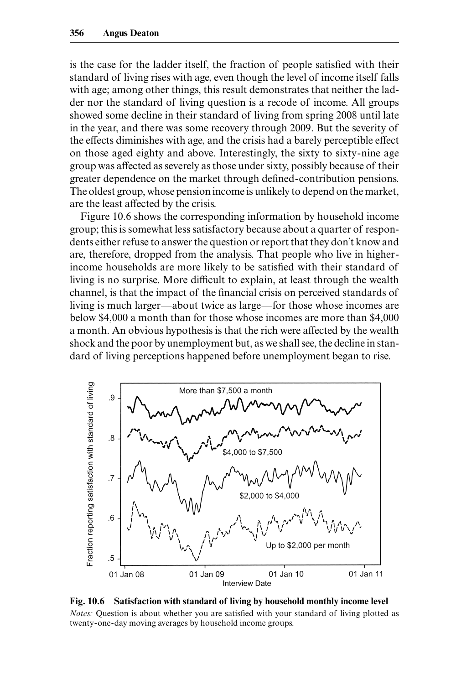is the case for the ladder itself, the fraction of people satisfied with their standard of living rises with age, even though the level of income itself falls with age; among other things, this result demonstrates that neither the ladder nor the standard of living question is a recode of income. All groups showed some decline in their standard of living from spring 2008 until late in the year, and there was some recovery through 2009. But the severity of the effects diminishes with age, and the crisis had a barely perceptible effect on those aged eighty and above. Interestingly, the sixty to sixty- nine age group was affected as severely as those under sixty, possibly because of their greater dependence on the market through defined-contribution pensions. The oldest group, whose pension income is unlikely to depend on the market, are the least affected by the crisis.

Figure 10.6 shows the corresponding information by household income group; this is somewhat less satisfactory because about a quarter of respondents either refuse to answer the question or report that they don't know and are, therefore, dropped from the analysis. That people who live in higherincome households are more likely to be satisfied with their standard of living is no surprise. More difficult to explain, at least through the wealth channel, is that the impact of the financial crisis on perceived standards of living is much larger—about twice as large—for those whose incomes are below \$4,000 a month than for those whose incomes are more than \$4,000 a month. An obvious hypothesis is that the rich were affected by the wealth shock and the poor by unemployment but, as we shall see, the decline in standard of living perceptions happened before unemployment began to rise.



**Fig. 10.6 Satisfaction with standard of living by household monthly income level** *Notes:* Question is about whether you are satisfied with your standard of living plotted as twenty- one- day moving averages by household income groups.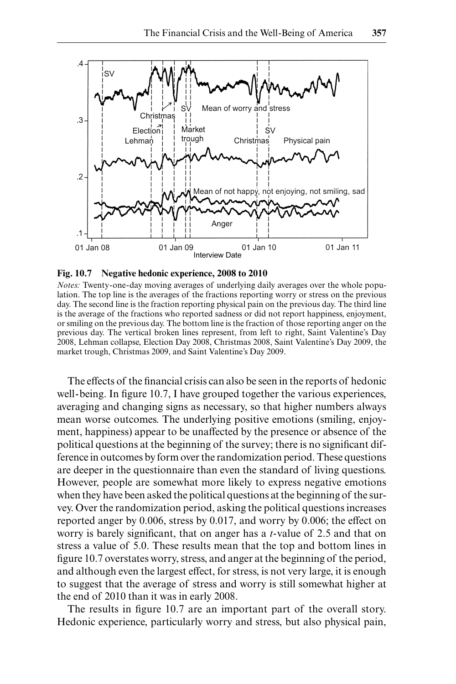

**Fig. 10.7 Negative hedonic experience, 2008 to 2010**

*Notes:* Twenty-one-day moving averages of underlying daily averages over the whole population. The top line is the averages of the fractions reporting worry or stress on the previous day. The second line is the fraction reporting physical pain on the previous day. The third line is the average of the fractions who reported sadness or did not report happiness, enjoyment, or smiling on the previous day. The bottom line is the fraction of those reporting anger on the previous day. The vertical broken lines represent, from left to right, Saint Valentine's Day 2008, Lehman collapse, Election Day 2008, Christmas 2008, Saint Valentine's Day 2009, the market trough, Christmas 2009, and Saint Valentine's Day 2009.

The effects of the financial crisis can also be seen in the reports of hedonic well-being. In figure 10.7, I have grouped together the various experiences, averaging and changing signs as necessary, so that higher numbers always mean worse outcomes. The underlying positive emotions (smiling, enjoyment, happiness) appear to be unaffected by the presence or absence of the political questions at the beginning of the survey; there is no significant difference in outcomes by form over the randomization period. These questions are deeper in the questionnaire than even the standard of living questions. However, people are somewhat more likely to express negative emotions when they have been asked the political questions at the beginning of the survey. Over the randomization period, asking the political questions increases reported anger by 0.006, stress by 0.017, and worry by 0.006; the effect on worry is barely significant, that on anger has a *t*-value of 2.5 and that on stress a value of 5.0. These results mean that the top and bottom lines in figure 10.7 overstates worry, stress, and anger at the beginning of the period, and although even the largest effect, for stress, is not very large, it is enough to suggest that the average of stress and worry is still somewhat higher at the end of 2010 than it was in early 2008.

The results in figure 10.7 are an important part of the overall story. Hedonic experience, particularly worry and stress, but also physical pain,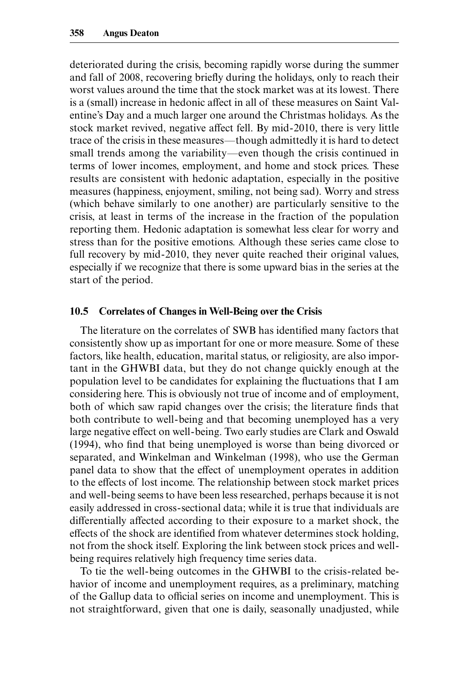deteriorated during the crisis, becoming rapidly worse during the summer and fall of 2008, recovering briefly during the holidays, only to reach their worst values around the time that the stock market was at its lowest. There is a (small) increase in hedonic affect in all of these measures on Saint Valentine's Day and a much larger one around the Christmas holidays. As the stock market revived, negative affect fell. By mid- 2010, there is very little trace of the crisis in these measures—though admittedly it is hard to detect small trends among the variability—even though the crisis continued in terms of lower incomes, employment, and home and stock prices. These results are consistent with hedonic adaptation, especially in the positive measures (happiness, enjoyment, smiling, not being sad). Worry and stress (which behave similarly to one another) are particularly sensitive to the crisis, at least in terms of the increase in the fraction of the population reporting them. Hedonic adaptation is somewhat less clear for worry and stress than for the positive emotions. Although these series came close to full recovery by mid-2010, they never quite reached their original values, especially if we recognize that there is some upward bias in the series at the start of the period.

#### **10.5 Correlates of Changes in Well- Being over the Crisis**

The literature on the correlates of SWB has identified many factors that consistently show up as important for one or more measure. Some of these factors, like health, education, marital status, or religiosity, are also important in the GHWBI data, but they do not change quickly enough at the population level to be candidates for explaining the fluctuations that I am considering here. This is obviously not true of income and of employment, both of which saw rapid changes over the crisis; the literature finds that both contribute to well- being and that becoming unemployed has a very large negative effect on well- being. Two early studies are Clark and Oswald (1994), who find that being unemployed is worse than being divorced or separated, and Winkelman and Winkelman (1998), who use the German panel data to show that the effect of unemployment operates in addition to the effects of lost income. The relationship between stock market prices and well- being seems to have been less researched, perhaps because it is not easily addressed in cross- sectional data; while it is true that individuals are differentially affected according to their exposure to a market shock, the effects of the shock are identified from whatever determines stock holding, not from the shock itself. Exploring the link between stock prices and wellbeing requires relatively high frequency time series data.

To tie the well- being outcomes in the GHWBI to the crisis- related behavior of income and unemployment requires, as a preliminary, matching of the Gallup data to official series on income and unemployment. This is not straightforward, given that one is daily, seasonally unadjusted, while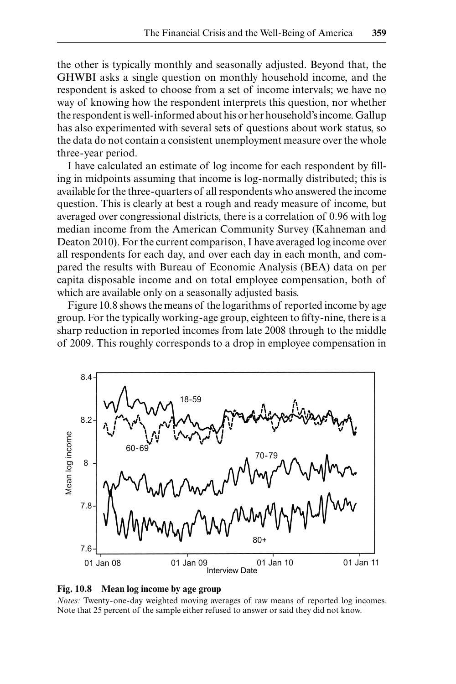the other is typically monthly and seasonally adjusted. Beyond that, the GHWBI asks a single question on monthly household income, and the respondent is asked to choose from a set of income intervals; we have no way of knowing how the respondent interprets this question, nor whether the respondent is well- informed about his or her household's income. Gallup has also experimented with several sets of questions about work status, so the data do not contain a consistent unemployment measure over the whole three- year period.

I have calculated an estimate of log income for each respondent by filling in midpoints assuming that income is log- normally distributed; this is available for the three- quarters of all respondents who answered the income question. This is clearly at best a rough and ready measure of income, but averaged over congressional districts, there is a correlation of 0.96 with log median income from the American Community Survey (Kahneman and Deaton 2010). For the current comparison, I have averaged log income over all respondents for each day, and over each day in each month, and compared the results with Bureau of Economic Analysis (BEA) data on per capita disposable income and on total employee compensation, both of which are available only on a seasonally adjusted basis.

Figure 10.8 shows the means of the logarithms of reported income by age group. For the typically working-age group, eighteen to fifty-nine, there is a sharp reduction in reported incomes from late 2008 through to the middle of 2009. This roughly corresponds to a drop in employee compensation in





*Notes:* Twenty-one-day weighted moving averages of raw means of reported log incomes. Note that 25 percent of the sample either refused to answer or said they did not know.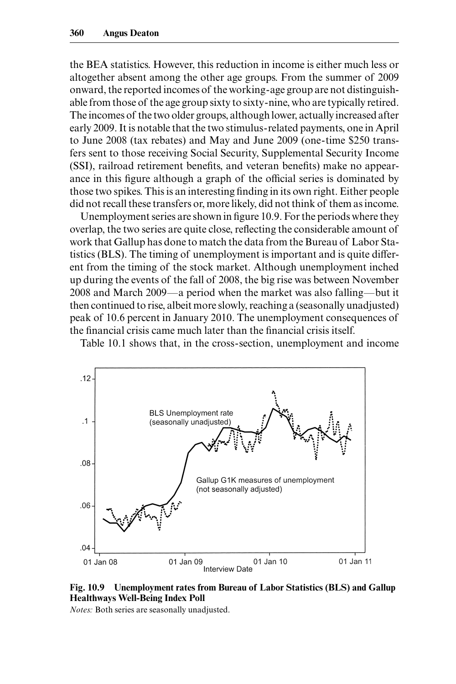the BEA statistics. However, this reduction in income is either much less or altogether absent among the other age groups. From the summer of 2009 onward, the reported incomes of the working- age group are not distinguishable from those of the age group sixty to sixty- nine, who are typically retired. The incomes of the two older groups, although lower, actually increased after early 2009. It is notable that the two stimulus- related payments, one in April to June 2008 (tax rebates) and May and June 2009 (one- time \$250 transfers sent to those receiving Social Security, Supplemental Security Income (SSI), railroad retirement benefits, and veteran benefits) make no appearance in this figure although a graph of the official series is dominated by those two spikes. This is an interesting finding in its own right. Either people did not recall these transfers or, more likely, did not think of them as income.

Unemployment series are shown in figure 10.9. For the periods where they overlap, the two series are quite close, reflecting the considerable amount of work that Gallup has done to match the data from the Bureau of Labor Statistics (BLS). The timing of unemployment is important and is quite differ ent from the timing of the stock market. Although unemployment inched up during the events of the fall of 2008, the big rise was between November 2008 and March 2009—a period when the market was also falling—but it then continued to rise, albeit more slowly, reaching a (seasonally unadjusted) peak of 10.6 percent in January 2010. The unemployment consequences of the financial crisis came much later than the financial crisis itself.

Table 10.1 shows that, in the cross- section, unemployment and income



**Fig. 10.9 Unemployment rates from Bureau of Labor Statistics (BLS) and Gallup Healthways Well-Being Index Poll** 

*Notes:* Both series are seasonally unadjusted.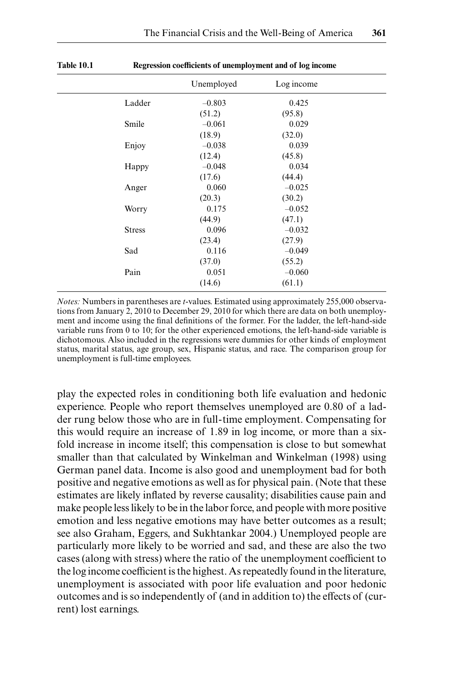|               | Unemployed | Log income |  |
|---------------|------------|------------|--|
| Ladder        | $-0.803$   | 0.425      |  |
|               | (51.2)     | (95.8)     |  |
| Smile         | $-0.061$   | 0.029      |  |
|               | (18.9)     | (32.0)     |  |
| Enjoy         | $-0.038$   | 0.039      |  |
|               | (12.4)     | (45.8)     |  |
| Happy         | $-0.048$   | 0.034      |  |
|               | (17.6)     | (44.4)     |  |
| Anger         | 0.060      | $-0.025$   |  |
|               | (20.3)     | (30.2)     |  |
| Worry         | 0.175      | $-0.052$   |  |
|               | (44.9)     | (47.1)     |  |
| <b>Stress</b> | 0.096      | $-0.032$   |  |
|               | (23.4)     | (27.9)     |  |
| Sad           | 0.116      | $-0.049$   |  |
|               | (37.0)     | (55.2)     |  |
| Pain          | 0.051      | $-0.060$   |  |
|               | (14.6)     | (61.1)     |  |
|               |            |            |  |

**Table 10.1 Regression coefficients of unemployment and of log income**

*Notes:* Numbers in parentheses are *t*- values. Estimated using approximately 255,000 observations from January 2, 2010 to December 29, 2010 for which there are data on both unemployment and income using the final definitions of the former. For the ladder, the left-hand-side variable runs from 0 to 10; for the other experienced emotions, the left-hand-side variable is dichotomous. Also included in the regressions were dummies for other kinds of employment status, marital status, age group, sex, Hispanic status, and race. The comparison group for unemployment is full-time employees.

play the expected roles in conditioning both life evaluation and hedonic experience. People who report themselves unemployed are 0.80 of a ladder rung below those who are in full- time employment. Compensating for this would require an increase of 1.89 in log income, or more than a sixfold increase in income itself; this compensation is close to but somewhat smaller than that calculated by Winkelman and Winkelman (1998) using German panel data. Income is also good and unemployment bad for both positive and negative emotions as well as for physical pain. (Note that these estimates are likely inflated by reverse causality; disabilities cause pain and make people less likely to be in the labor force, and people with more positive emotion and less negative emotions may have better outcomes as a result; see also Graham, Eggers, and Sukhtankar 2004.) Unemployed people are particularly more likely to be worried and sad, and these are also the two cases (along with stress) where the ratio of the unemployment coefficient to the log income coefficient is the highest. As repeatedly found in the literature, unemployment is associated with poor life evaluation and poor hedonic outcomes and is so independently of (and in addition to) the effects of (current) lost earnings.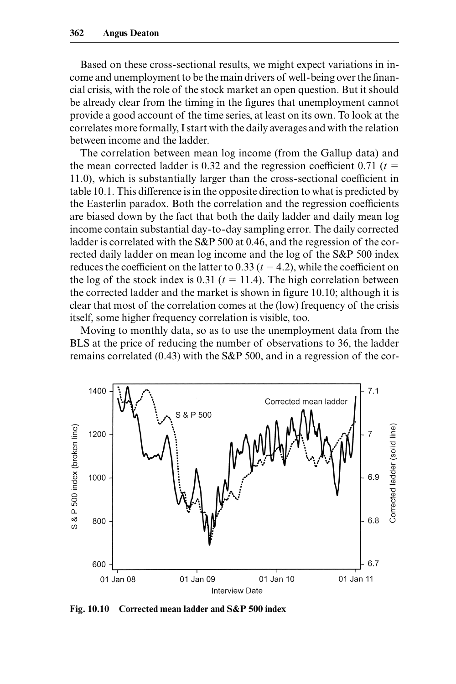Based on these cross- sectional results, we might expect variations in income and unemployment to be the main drivers of well-being over the financial crisis, with the role of the stock market an open question. But it should be already clear from the timing in the figures that unemployment cannot provide a good account of the time series, at least on its own. To look at the correlates more formally, I start with the daily averages and with the relation between income and the ladder.

The correlation between mean log income (from the Gallup data) and the mean corrected ladder is 0.32 and the regression coefficient  $0.71$  ( $t =$ 11.0), which is substantially larger than the cross- sectional coefficient in table 10.1. This difference is in the opposite direction to what is predicted by the Easterlin paradox. Both the correlation and the regression coefficients are biased down by the fact that both the daily ladder and daily mean log income contain substantial day- to- day sampling error. The daily corrected ladder is correlated with the S&P 500 at 0.46, and the regression of the corrected daily ladder on mean log income and the log of the S&P 500 index reduces the coefficient on the latter to  $0.33$  ( $t = 4.2$ ), while the coefficient on the log of the stock index is  $0.31$  ( $t = 11.4$ ). The high correlation between the corrected ladder and the market is shown in figure  $10.10$ ; although it is clear that most of the correlation comes at the (low) frequency of the crisis itself, some higher frequency correlation is visible, too.

Moving to monthly data, so as to use the unemployment data from the BLS at the price of reducing the number of observations to 36, the ladder remains correlated (0.43) with the S&P 500, and in a regression of the cor-



**Fig. 10.10 Corrected mean ladder and S&P 500 index**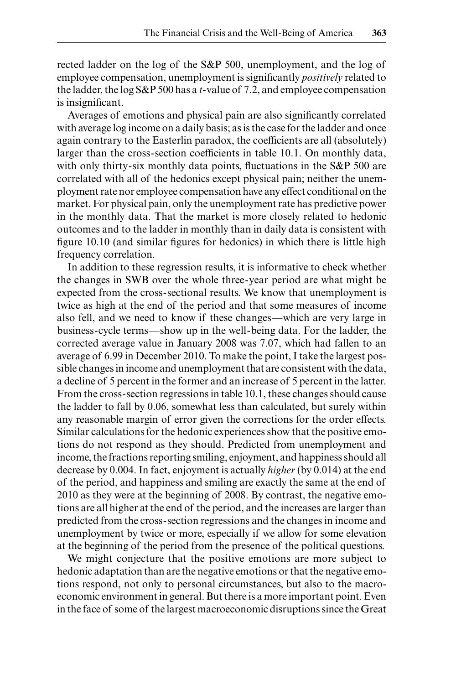rected ladder on the log of the S&P 500, unemployment, and the log of employee compensation, unemployment is significantly *positively* related to the ladder, the log S&P 500 has a *t*- value of 7.2, and employee compensation is insignificant.

Averages of emotions and physical pain are also significantly correlated with average log income on a daily basis; as is the case for the ladder and once again contrary to the Easterlin paradox, the coefficients are all (absolutely) larger than the cross- section coefficients in table 10.1. On monthly data, with only thirty-six monthly data points, fluctuations in the S&P 500 are correlated with all of the hedonics except physical pain; neither the unemployment rate nor employee compensation have any effect conditional on the market. For physical pain, only the unemployment rate has predictive power in the monthly data. That the market is more closely related to hedonic outcomes and to the ladder in monthly than in daily data is consistent with figure  $10.10$  (and similar figures for hedonics) in which there is little high frequency correlation.

In addition to these regression results, it is informative to check whether the changes in SWB over the whole three- year period are what might be expected from the cross- sectional results. We know that unemployment is twice as high at the end of the period and that some measures of income also fell, and we need to know if these changes—which are very large in business- cycle terms—show up in the well- being data. For the ladder, the corrected average value in January 2008 was 7.07, which had fallen to an average of 6.99 in December 2010. To make the point, I take the largest possible changes in income and unemployment that are consistent with the data, a decline of 5 percent in the former and an increase of 5 percent in the latter. From the cross- section regressions in table 10.1, these changes should cause the ladder to fall by 0.06, somewhat less than calculated, but surely within any reasonable margin of error given the corrections for the order effects. Similar calculations for the hedonic experiences show that the positive emotions do not respond as they should. Predicted from unemployment and income, the fractions reporting smiling, enjoyment, and happiness should all decrease by 0.004. In fact, enjoyment is actually *higher* (by 0.014) at the end of the period, and happiness and smiling are exactly the same at the end of 2010 as they were at the beginning of 2008. By contrast, the negative emotions are all higher at the end of the period, and the increases are larger than predicted from the cross- section regressions and the changes in income and unemployment by twice or more, especially if we allow for some elevation at the beginning of the period from the presence of the political questions.

We might conjecture that the positive emotions are more subject to hedonic adaptation than are the negative emotions or that the negative emotions respond, not only to personal circumstances, but also to the macroeconomic environment in general. But there is a more important point. Even in the face of some of the largest macroeconomic disruptions since the Great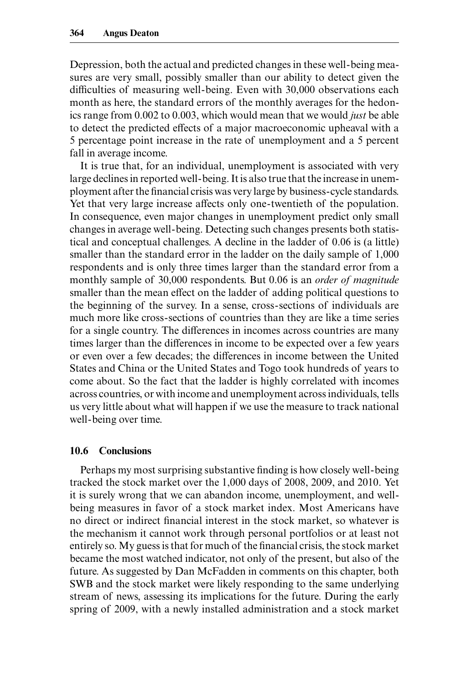Depression, both the actual and predicted changes in these well- being measures are very small, possibly smaller than our ability to detect given the difficulties of measuring well- being. Even with 30,000 observations each month as here, the standard errors of the monthly averages for the hedonics range from 0.002 to 0.003, which would mean that we would *just* be able to detect the predicted effects of a major macroeconomic upheaval with a 5 percentage point increase in the rate of unemployment and a 5 percent fall in average income.

It is true that, for an individual, unemployment is associated with very large declines in reported well- being. It is also true that the increase in unemployment after the financial crisis was very large by business-cycle standards. Yet that very large increase affects only one- twentieth of the population. In consequence, even major changes in unemployment predict only small changes in average well- being. Detecting such changes presents both statistical and conceptual challenges. A decline in the ladder of 0.06 is (a little) smaller than the standard error in the ladder on the daily sample of 1,000 respondents and is only three times larger than the standard error from a monthly sample of 30,000 respondents. But 0.06 is an *order of magnitude* smaller than the mean effect on the ladder of adding political questions to the beginning of the survey. In a sense, cross- sections of individuals are much more like cross- sections of countries than they are like a time series for a single country. The differences in incomes across countries are many times larger than the differences in income to be expected over a few years or even over a few decades; the differences in income between the United States and China or the United States and Togo took hundreds of years to come about. So the fact that the ladder is highly correlated with incomes across countries, or with income and unemployment across individuals, tells us very little about what will happen if we use the measure to track national well- being over time.

#### **10.6 Conclusions**

Perhaps my most surprising substantive finding is how closely well-being tracked the stock market over the 1,000 days of 2008, 2009, and 2010. Yet it is surely wrong that we can abandon income, unemployment, and wellbeing measures in favor of a stock market index. Most Americans have no direct or indirect financial interest in the stock market, so whatever is the mechanism it cannot work through personal portfolios or at least not entirely so. My guess is that for much of the financial crisis, the stock market became the most watched indicator, not only of the present, but also of the future. As suggested by Dan McFadden in comments on this chapter, both SWB and the stock market were likely responding to the same underlying stream of news, assessing its implications for the future. During the early spring of 2009, with a newly installed administration and a stock market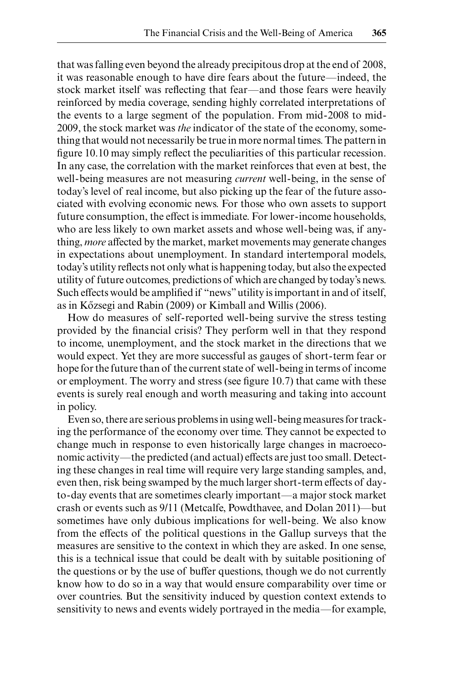that was falling even beyond the already precipitous drop at the end of 2008, it was reasonable enough to have dire fears about the future—indeed, the stock market itself was reflecting that fear—and those fears were heavily reinforced by media coverage, sending highly correlated interpretations of the events to a large segment of the population. From mid- 2008 to mid-2009, the stock market was *the* indicator of the state of the economy, something that would not necessarily be true in more normal times. The pattern in figure 10.10 may simply reflect the peculiarities of this particular recession. In any case, the correlation with the market reinforces that even at best, the well- being measures are not measuring *current* well- being, in the sense of today's level of real income, but also picking up the fear of the future associated with evolving economic news. For those who own assets to support future consumption, the effect is immediate. For lower- income households, who are less likely to own market assets and whose well- being was, if anything, *more* affected by the market, market movements may generate changes in expectations about unemployment. In standard intertemporal models, today's utility reflects not only what is happening today, but also the expected utility of future outcomes, predictions of which are changed by today's news. Such effects would be amplified if "news" utility is important in and of itself, as in Kőzsegi and Rabin (2009) or Kimball and Willis (2006).

How do measures of self- reported well- being survive the stress testing provided by the financial crisis? They perform well in that they respond to income, unemployment, and the stock market in the directions that we would expect. Yet they are more successful as gauges of short- term fear or hope for the future than of the current state of well- being in terms of income or employment. The worry and stress (see figure 10.7) that came with these events is surely real enough and worth measuring and taking into account in policy.

Even so, there are serious problems in using well- being measures for tracking the performance of the economy over time. They cannot be expected to change much in response to even historically large changes in macroeconomic activity—the predicted (and actual) effects are just too small. Detecting these changes in real time will require very large standing samples, and, even then, risk being swamped by the much larger short- term effects of dayto- day events that are sometimes clearly important—a major stock market crash or events such as 9/11 (Metcalfe, Powdthavee, and Dolan 2011)-but sometimes have only dubious implications for well- being. We also know from the effects of the political questions in the Gallup surveys that the measures are sensitive to the context in which they are asked. In one sense, this is a technical issue that could be dealt with by suitable positioning of the questions or by the use of buffer questions, though we do not currently know how to do so in a way that would ensure comparability over time or over countries. But the sensitivity induced by question context extends to sensitivity to news and events widely portrayed in the media—for example,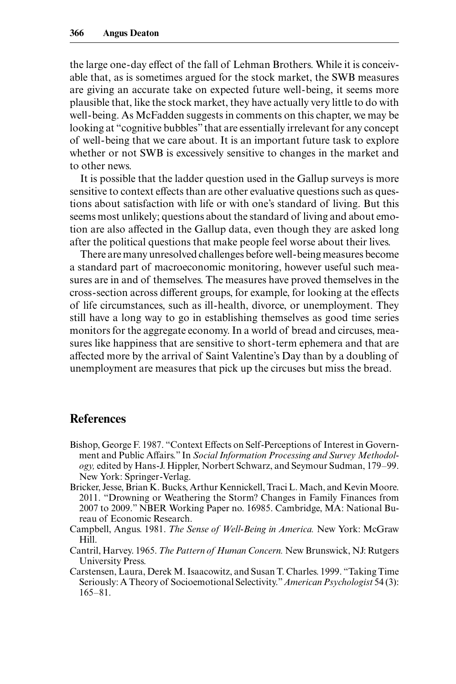the large one- day effect of the fall of Lehman Brothers. While it is conceivable that, as is sometimes argued for the stock market, the SWB measures are giving an accurate take on expected future well- being, it seems more plausible that, like the stock market, they have actually very little to do with well- being. As McFadden suggests in comments on this chapter, we may be looking at "cognitive bubbles" that are essentially irrelevant for any concept of well- being that we care about. It is an important future task to explore whether or not SWB is excessively sensitive to changes in the market and to other news.

It is possible that the ladder question used in the Gallup surveys is more sensitive to context effects than are other evaluative questions such as questions about satisfaction with life or with one's standard of living. But this seems most unlikely; questions about the standard of living and about emotion are also affected in the Gallup data, even though they are asked long after the political questions that make people feel worse about their lives.

There are many unresolved challenges before well- being measures become a standard part of macroeconomic monitoring, however useful such measures are in and of themselves. The measures have proved themselves in the cross- section across different groups, for example, for looking at the effects of life circumstances, such as ill- health, divorce, or unemployment. They still have a long way to go in establishing themselves as good time series monitors for the aggregate economy. In a world of bread and circuses, measures like happiness that are sensitive to short- term ephemera and that are affected more by the arrival of Saint Valentine's Day than by a doubling of unemployment are measures that pick up the circuses but miss the bread.

# **References**

- Bishop, George F. 1987. "Context Effects on Self- Perceptions of Interest in Government and Public Affairs." In *Social Information Processing and Survey Methodology,* edited by Hans-J. Hippler, Norbert Schwarz, and Seymour Sudman, 179–99. New York: Springer-Verlag.
- Bricker, Jesse, Brian K. Bucks, Arthur Kennickell, Traci L. Mach, and Kevin Moore. 2011. "Drowning or Weathering the Storm? Changes in Family Finances from 2007 to 2009." NBER Working Paper no. 16985. Cambridge, MA: National Bureau of Economic Research.
- Campbell, Angus. 1981. *The Sense of Well- Being in America.* New York: McGraw Hill.
- Cantril, Harvey. 1965. *The Pattern of Human Concern.* New Brunswick, NJ: Rutgers University Press.
- Carstensen, Laura, Derek M. Isaacowitz, and Susan T. Charles. 1999. "Taking Time Seriously: A Theory of Socioemotional Selectivity." *American Psychologist* 54 (3):  $165 - 81$ .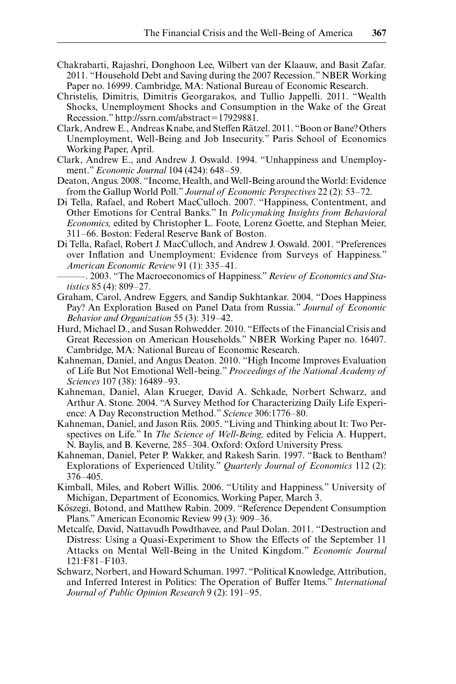- Chakrabarti, Rajashri, Donghoon Lee, Wilbert van der Klaauw, and Basit Zafar. 2011. "Household Debt and Saving during the 2007 Recession." NBER Working Paper no. 16999. Cambridge, MA: National Bureau of Economic Research.
- Christelis, Dimitris, Dimitris Georgarakos, and Tullio Jappelli. 2011. "Wealth Shocks, Unemployment Shocks and Consumption in the Wake of the Great Recession." http://ssrn.com/abstract=17929881.
- Clark, Andrew E., Andreas Knabe, and Steffen Rätzel. 2011. "Boon or Bane? Others Unemployment, Well- Being and Job Insecurity." Paris School of Economics Working Paper, April.
- Clark, Andrew E., and Andrew J. Oswald. 1994. "Unhappiness and Unemployment." *Economic Journal* 104 (424): 648– 59.
- Deaton, Angus. 2008. "Income, Health, and Well- Being around the World: Evidence from the Gallup World Poll." *Journal of Economic Perspectives* 22 (2): 53-72.
- Di Tella, Rafael, and Robert MacCulloch. 2007. "Happiness, Contentment, and Other Emotions for Central Banks." In *Policymaking Insights from Behavioral Economics,* edited by Christopher L. Foote, Lorenz Goette, and Stephan Meier, 311– 66. Boston: Federal Reserve Bank of Boston.
- Di Tella, Rafael, Robert J. MacCulloch, and Andrew J. Oswald. 2001. "Preferences over Inflation and Unemployment: Evidence from Surveys of Happiness." *American Economic Review* 91 (1): 335-41.
- ———. 2003. "The Macroeconomics of Happiness." *Review of Economics and Statistics* 85 (4): 809–27.
- Graham, Carol, Andrew Eggers, and Sandip Sukhtankar. 2004. "Does Happiness Pay? An Exploration Based on Panel Data from Russia." *Journal of Economic Behavior and Organization* 55 (3): 319– 42.
- Hurd, Michael D., and Susan Rohwedder. 2010. "Effects of the Financial Crisis and Great Recession on American Households." NBER Working Paper no. 16407. Cambridge, MA: National Bureau of Economic Research.
- Kahneman, Daniel, and Angus Deaton. 2010. "High Income Improves Evaluation of Life But Not Emotional Well- being." *Proceedings of the National Academy of Sciences* 107 (38): 16489-93.
- Kahneman, Daniel, Alan Krueger, David A. Schkade, Norbert Schwarz, and Arthur A. Stone. 2004. "A Survey Method for Characterizing Daily Life Experience: A Day Reconstruction Method." *Science* 306:1776-80.
- Kahneman, Daniel, and Jason Riis. 2005. "Living and Thinking about It: Two Perspectives on Life." In *The Science of Well- Being,* edited by Felicia A. Huppert, N. Baylis, and B. Keverne, 285–304. Oxford: Oxford University Press.
- Kahneman, Daniel, Peter P. Wakker, and Rakesh Sarin. 1997. "Back to Bentham? Explorations of Experienced Utility." *Quarterly Journal of Economics* 112 (2): 376– 405.
- Kimball, Miles, and Robert Willis. 2006. "Utility and Happiness." University of Michigan, Department of Economics, Working Paper, March 3.
- Kőszegi, Botond, and Matthew Rabin. 2009. "Reference Dependent Consumption Plans." American Economic Review 99 (3): 909– 36.
- Metcalfe, David, Nattavudh Powdthavee, and Paul Dolan. 2011. "Destruction and Distress: Using a Quasi-Experiment to Show the Effects of the September 11 Attacks on Mental Well- Being in the United Kingdom." *Economic Journal* 121:F81-F103.
- Schwarz, Norbert, and Howard Schuman. 1997. "Political Knowledge, Attribution, and Inferred Interest in Politics: The Operation of Buffer Items." *International*  Journal of Public Opinion Research 9 (2): 191-95.